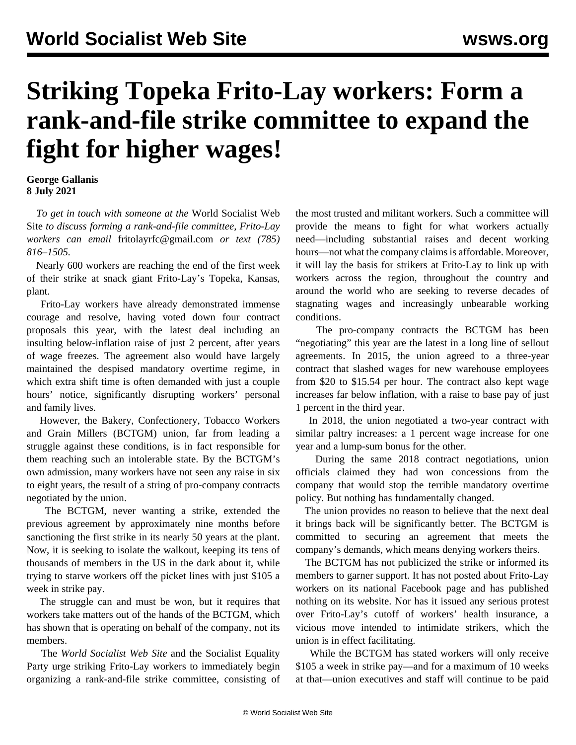## **Striking Topeka Frito-Lay workers: Form a rank-and-file strike committee to expand the fight for higher wages!**

## **George Gallanis 8 July 2021**

 *To get in touch with someone at the* World Socialist Web Site *to discuss forming a rank-and-file committee, Frito-Lay workers can email* [fritolayrfc@gmail.com](mailto:fritolayrfc@gmail.com) *or text (785) 816–1505.*

 Nearly 600 workers are reaching the end of the first week of their strike at snack giant Frito-Lay's Topeka, Kansas, plant.

 Frito-Lay workers have already demonstrated immense courage and resolve, having voted down four contract proposals this year, with the latest deal including an insulting below-inflation raise of just 2 percent, after years of wage freezes. The agreement also would have largely maintained the despised mandatory overtime regime, in which extra shift time is often demanded with just a couple hours' notice, significantly disrupting workers' personal and family lives.

 However, the Bakery, Confectionery, Tobacco Workers and Grain Millers (BCTGM) union, far from leading a struggle against these conditions, is in fact responsible for them reaching such an intolerable state. By the BCTGM's own admission, many workers have not seen any raise in six to eight years, the result of a string of pro-company contracts negotiated by the union.

 The BCTGM, never wanting a strike, extended the previous agreement by approximately nine months before sanctioning the first strike in its nearly 50 years at the plant. Now, it is seeking to isolate the walkout, keeping its tens of thousands of members in the US in the dark about it, while trying to starve workers off the picket lines with just \$105 a week in strike pay.

 The struggle can and must be won, but it requires that workers take matters out of the hands of the BCTGM, which has shown that is operating on behalf of the company, not its members.

 The *World Socialist Web Site* and the Socialist Equality Party urge striking Frito-Lay workers to immediately begin organizing a rank-and-file strike committee, consisting of the most trusted and militant workers. Such a committee will provide the means to fight for what workers actually need—including substantial raises and decent working hours—not what the company claims is affordable. Moreover, it will lay the basis for strikers at Frito-Lay to link up with workers across the region, throughout the country and around the world who are seeking to reverse decades of stagnating wages and increasingly unbearable working conditions.

 The pro-company contracts the BCTGM has been "negotiating" this year are the latest in a long line of sellout agreements. In 2015, the union agreed to a three-year contract that slashed wages for new warehouse employees from \$20 to \$15.54 per hour. The contract also kept wage increases far below inflation, with a raise to base pay of just 1 percent in the third year.

 In 2018, the union negotiated a two-year contract with similar paltry increases: a 1 percent wage increase for one year and a lump-sum bonus for the other.

 During the same 2018 contract negotiations, union officials claimed they had won concessions from the company that would stop the terrible mandatory overtime policy. But nothing has fundamentally changed.

 The union provides no reason to believe that the next deal it brings back will be significantly better. The BCTGM is committed to securing an agreement that meets the company's demands, which means denying workers theirs.

 The BCTGM has not publicized the strike or informed its members to garner support. It has not posted about Frito-Lay workers on its national Facebook page and has published nothing on its website. Nor has it issued any serious protest over Frito-Lay's cutoff of workers' health insurance, a vicious move intended to intimidate strikers, which the union is in effect facilitating.

 While the BCTGM has stated workers will only receive \$105 a week in strike pay—and for a maximum of 10 weeks at that—union executives and staff will continue to be paid